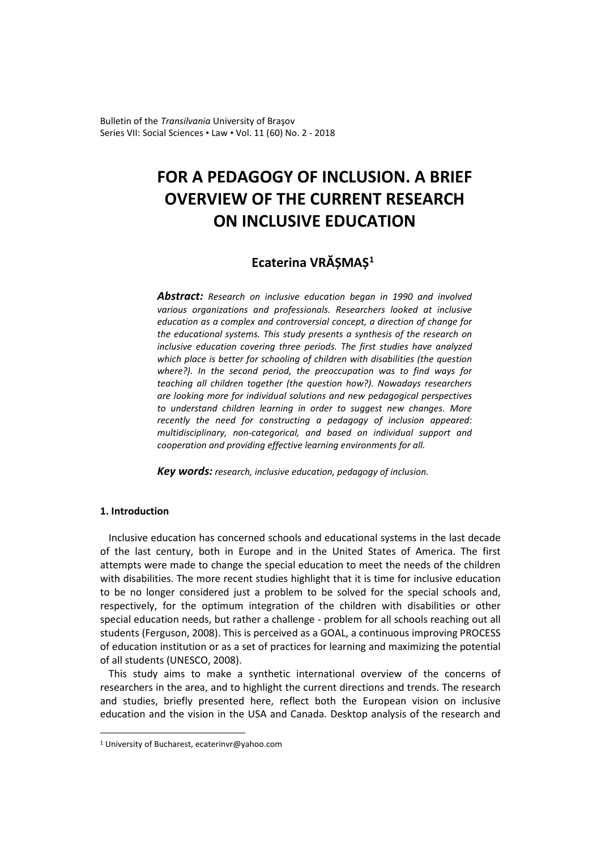Bulletin of the *Transilvania* University of Braşov Series VII: Social Sciences • Law • Vol. 11 (60) No. 2 - 2018

# **FOR A PEDAGOGY OF INCLUSION. A BRIEF OVERVIEW OF THE CURRENT RESEARCH ON INCLUSIVE EDUCATION**

# **Ecaterina VRĂȘMAȘ[1](#page-0-0)**

*Abstract: Research on inclusive education began in 1990 and involved various organizations and professionals. Researchers looked at inclusive education as a complex and controversial concept, a direction of change for the educational systems. This study presents a synthesis of the research on inclusive education covering three periods. The first studies have analyzed which place is better for schooling of children with disabilities (the question where?). In the second period, the preoccupation was to find ways for teaching all children together (the question how?). Nowadays researchers are looking more for individual solutions and new pedagogical perspectives to understand children learning in order to suggest new changes. More recently the need for constructing a pedagogy of inclusion appeared: multidisciplinary, non-categorical, and based on individual support and cooperation and providing effective learning environments for all.*

*Key words: research, inclusive education, pedagogy of inclusion.*

# **1. Introduction**

 $\overline{a}$ 

Inclusive education has concerned schools and educational systems in the last decade of the last century, both in Europe and in the United States of America. The first attempts were made to change the special education to meet the needs of the children with disabilities. The more recent studies highlight that it is time for inclusive education to be no longer considered just a problem to be solved for the special schools and, respectively, for the optimum integration of the children with disabilities or other special education needs, but rather a challenge - problem for all schools reaching out all students (Ferguson, 2008). This is perceived as a GOAL, a continuous improving PROCESS of education institution or as a set of practices for learning and maximizing the potential of all students (UNESCO, 2008).

This study aims to make a synthetic international overview of the concerns of researchers in the area, and to highlight the current directions and trends. The research and studies, briefly presented here, reflect both the European vision on inclusive education and the vision in the USA and Canada. Desktop analysis of the research and

<span id="page-0-0"></span><sup>1</sup> University of Bucharest, ecaterinvr@yahoo.com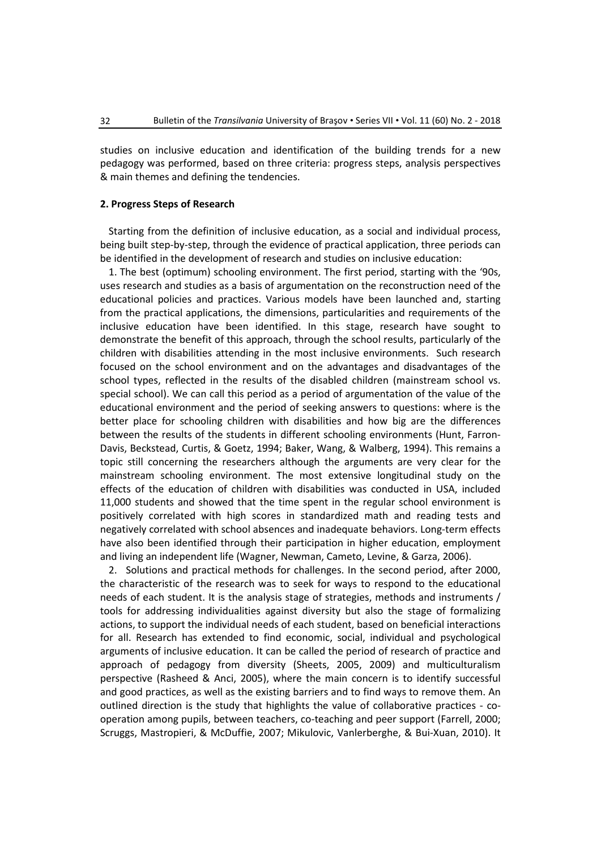studies on inclusive education and identification of the building trends for a new pedagogy was performed, based on three criteria: progress steps, analysis perspectives & main themes and defining the tendencies.

## **2. Progress Steps of Research**

Starting from the definition of inclusive education, as a social and individual process, being built step-by-step, through the evidence of practical application, three periods can be identified in the development of research and studies on inclusive education:

1. The best (optimum) schooling environment. The first period, starting with the '90s, uses research and studies as a basis of argumentation on the reconstruction need of the educational policies and practices. Various models have been launched and, starting from the practical applications, the dimensions, particularities and requirements of the inclusive education have been identified. In this stage, research have sought to demonstrate the benefit of this approach, through the school results, particularly of the children with disabilities attending in the most inclusive environments. Such research focused on the school environment and on the advantages and disadvantages of the school types, reflected in the results of the disabled children (mainstream school vs. special school). We can call this period as a period of argumentation of the value of the educational environment and the period of seeking answers to questions: where is the better place for schooling children with disabilities and how big are the differences between the results of the students in different schooling environments (Hunt, Farron-Davis, Beckstead, Curtis, & Goetz, 1994; Baker, Wang, & Walberg, 1994). This remains a topic still concerning the researchers although the arguments are very clear for the mainstream schooling environment. The most extensive longitudinal study on the effects of the education of children with disabilities was conducted in USA, included 11,000 students and showed that the time spent in the regular school environment is positively correlated with high scores in standardized math and reading tests and negatively correlated with school absences and inadequate behaviors. Long-term effects have also been identified through their participation in higher education, employment and living an independent life (Wagner, Newman, Cameto, Levine, & Garza, 2006).

2. Solutions and practical methods for challenges. In the second period, after 2000, the characteristic of the research was to seek for ways to respond to the educational needs of each student. It is the analysis stage of strategies, methods and instruments / tools for addressing individualities against diversity but also the stage of formalizing actions, to support the individual needs of each student, based on beneficial interactions for all. Research has extended to find economic, social, individual and psychological arguments of inclusive education. It can be called the period of research of practice and approach of pedagogy from diversity (Sheets, 2005, 2009) and multiculturalism perspective (Rasheed & Anci, 2005), where the main concern is to identify successful and good practices, as well as the existing barriers and to find ways to remove them. An outlined direction is the study that highlights the value of collaborative practices - cooperation among pupils, between teachers, co-teaching and peer support (Farrell, 2000; Scruggs, Mastropieri, & McDuffie, 2007; Mikulovic, Vanlerberghe, & Bui-Xuan, 2010). It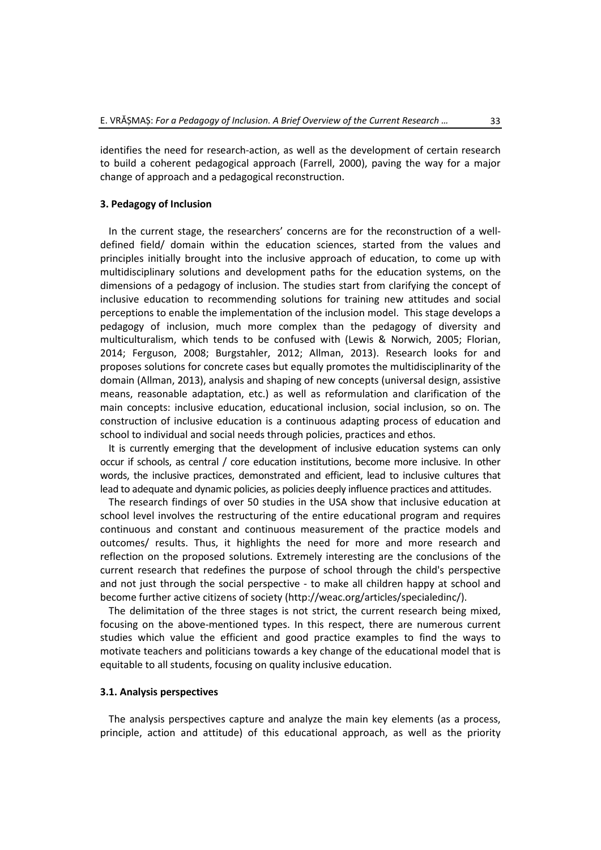identifies the need for research-action, as well as the development of certain research to build a coherent pedagogical approach (Farrell, 2000), paving the way for a major change of approach and a pedagogical reconstruction.

# **3. Pedagogy of Inclusion**

In the current stage, the researchers' concerns are for the reconstruction of a welldefined field/ domain within the education sciences, started from the values and principles initially brought into the inclusive approach of education, to come up with multidisciplinary solutions and development paths for the education systems, on the dimensions of a pedagogy of inclusion. The studies start from clarifying the concept of inclusive education to recommending solutions for training new attitudes and social perceptions to enable the implementation of the inclusion model. This stage develops a pedagogy of inclusion, much more complex than the pedagogy of diversity and multiculturalism, which tends to be confused with (Lewis & Norwich, 2005; Florian, 2014; Ferguson, 2008; Burgstahler, 2012; Allman, 2013). Research looks for and proposes solutions for concrete cases but equally promotes the multidisciplinarity of the domain (Allman, 2013), analysis and shaping of new concepts (universal design, assistive means, reasonable adaptation, etc.) as well as reformulation and clarification of the main concepts: inclusive education, educational inclusion, social inclusion, so on. The construction of inclusive education is a continuous adapting process of education and school to individual and social needs through policies, practices and ethos.

It is currently emerging that the development of inclusive education systems can only occur if schools, as central / core education institutions, become more inclusive. In other words, the inclusive practices, demonstrated and efficient, lead to inclusive cultures that lead to adequate and dynamic policies, as policies deeply influence practices and attitudes.

The research findings of over 50 studies in the USA show that inclusive education at school level involves the restructuring of the entire educational program and requires continuous and constant and continuous measurement of the practice models and outcomes/ results. Thus, it highlights the need for more and more research and reflection on the proposed solutions. Extremely interesting are the conclusions of the current research that redefines the purpose of school through the child's perspective and not just through the social perspective - to make all children happy at school and become further active citizens of society (http://weac.org/articles/specialedinc/).

The delimitation of the three stages is not strict, the current research being mixed, focusing on the above-mentioned types. In this respect, there are numerous current studies which value the efficient and good practice examples to find the ways to motivate teachers and politicians towards a key change of the educational model that is equitable to all students, focusing on quality inclusive education.

# **3.1. Analysis perspectives**

The analysis perspectives capture and analyze the main key elements (as a process, principle, action and attitude) of this educational approach, as well as the priority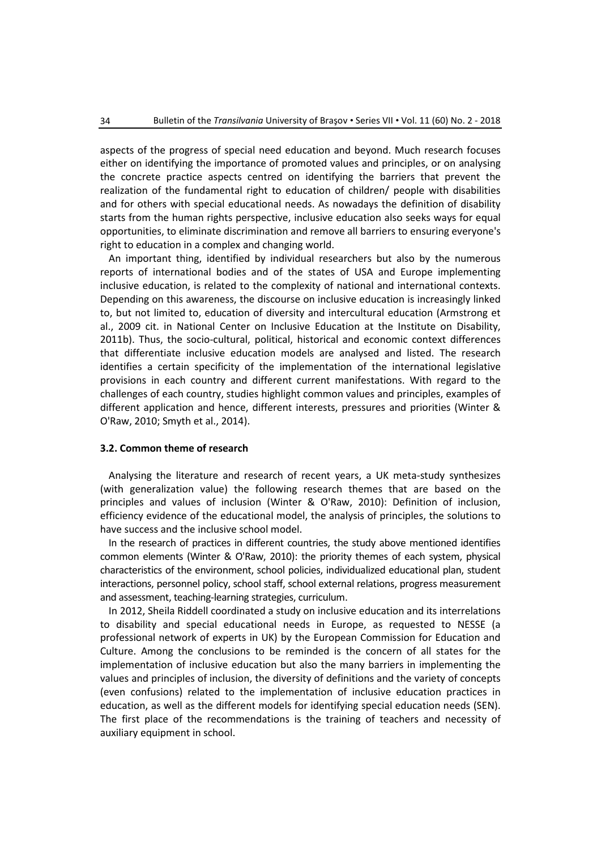aspects of the progress of special need education and beyond. Much research focuses either on identifying the importance of promoted values and principles, or on analysing the concrete practice aspects centred on identifying the barriers that prevent the realization of the fundamental right to education of children/ people with disabilities and for others with special educational needs. As nowadays the definition of disability starts from the human rights perspective, inclusive education also seeks ways for equal opportunities, to eliminate discrimination and remove all barriers to ensuring everyone's right to education in a complex and changing world.

An important thing, identified by individual researchers but also by the numerous reports of international bodies and of the states of USA and Europe implementing inclusive education, is related to the complexity of national and international contexts. Depending on this awareness, the discourse on inclusive education is increasingly linked to, but not limited to, education of diversity and intercultural education (Armstrong et al., 2009 cit. in National Center on Inclusive Education at the Institute on Disability, 2011b). Thus, the socio-cultural, political, historical and economic context differences that differentiate inclusive education models are analysed and listed. The research identifies a certain specificity of the implementation of the international legislative provisions in each country and different current manifestations. With regard to the challenges of each country, studies highlight common values and principles, examples of different application and hence, different interests, pressures and priorities (Winter & O'Raw, 2010; Smyth et al., 2014).

#### **3.2. Common theme of research**

Analysing the literature and research of recent years, a UK meta-study synthesizes (with generalization value) the following research themes that are based on the principles and values of inclusion (Winter & O'Raw, 2010): Definition of inclusion, efficiency evidence of the educational model, the analysis of principles, the solutions to have success and the inclusive school model.

In the research of practices in different countries, the study above mentioned identifies common elements (Winter & O'Raw, 2010): the priority themes of each system, physical characteristics of the environment, school policies, individualized educational plan, student interactions, personnel policy, school staff, school external relations, progress measurement and assessment, teaching-learning strategies, curriculum.

In 2012, Sheila Riddell coordinated a study on inclusive education and its interrelations to disability and special educational needs in Europe, as requested to NESSE (a professional network of experts in UK) by the European Commission for Education and Culture. Among the conclusions to be reminded is the concern of all states for the implementation of inclusive education but also the many barriers in implementing the values and principles of inclusion, the diversity of definitions and the variety of concepts (even confusions) related to the implementation of inclusive education practices in education, as well as the different models for identifying special education needs (SEN). The first place of the recommendations is the training of teachers and necessity of auxiliary equipment in school.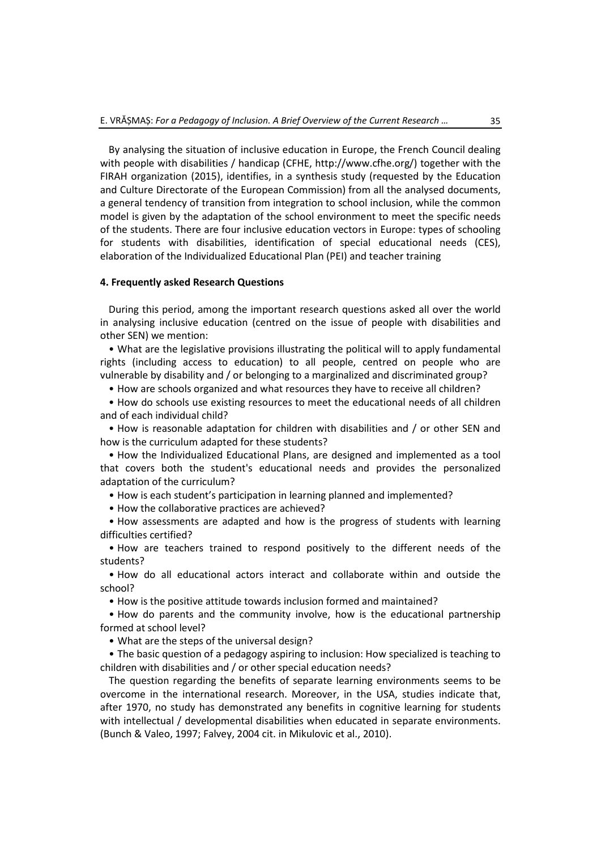By analysing the situation of inclusive education in Europe, the French Council dealing with people with disabilities / handicap (CFHE, http://www.cfhe.org/) together with the FIRAH organization (2015), identifies, in a synthesis study (requested by the Education and Culture Directorate of the European Commission) from all the analysed documents, a general tendency of transition from integration to school inclusion, while the common model is given by the adaptation of the school environment to meet the specific needs of the students. There are four inclusive education vectors in Europe: types of schooling for students with disabilities, identification of special educational needs (CES), elaboration of the Individualized Educational Plan (PEI) and teacher training

# **4. Frequently asked Research Questions**

During this period, among the important research questions asked all over the world in analysing inclusive education (centred on the issue of people with disabilities and other SEN) we mention:

• What are the legislative provisions illustrating the political will to apply fundamental rights (including access to education) to all people, centred on people who are vulnerable by disability and / or belonging to a marginalized and discriminated group?

• How are schools organized and what resources they have to receive all children?

• How do schools use existing resources to meet the educational needs of all children and of each individual child?

• How is reasonable adaptation for children with disabilities and / or other SEN and how is the curriculum adapted for these students?

• How the Individualized Educational Plans, are designed and implemented as a tool that covers both the student's educational needs and provides the personalized adaptation of the curriculum?

• How is each student's participation in learning planned and implemented?

• How the collaborative practices are achieved?

• How assessments are adapted and how is the progress of students with learning difficulties certified?

• How are teachers trained to respond positively to the different needs of the students?

• How do all educational actors interact and collaborate within and outside the school?

• How is the positive attitude towards inclusion formed and maintained?

• How do parents and the community involve, how is the educational partnership formed at school level?

• What are the steps of the universal design?

• The basic question of a pedagogy aspiring to inclusion: How specialized is teaching to children with disabilities and / or other special education needs?

The question regarding the benefits of separate learning environments seems to be overcome in the international research. Moreover, in the USA, studies indicate that, after 1970, no study has demonstrated any benefits in cognitive learning for students with intellectual / developmental disabilities when educated in separate environments. (Bunch & Valeo, 1997; Falvey, 2004 cit. in Mikulovic et al., 2010).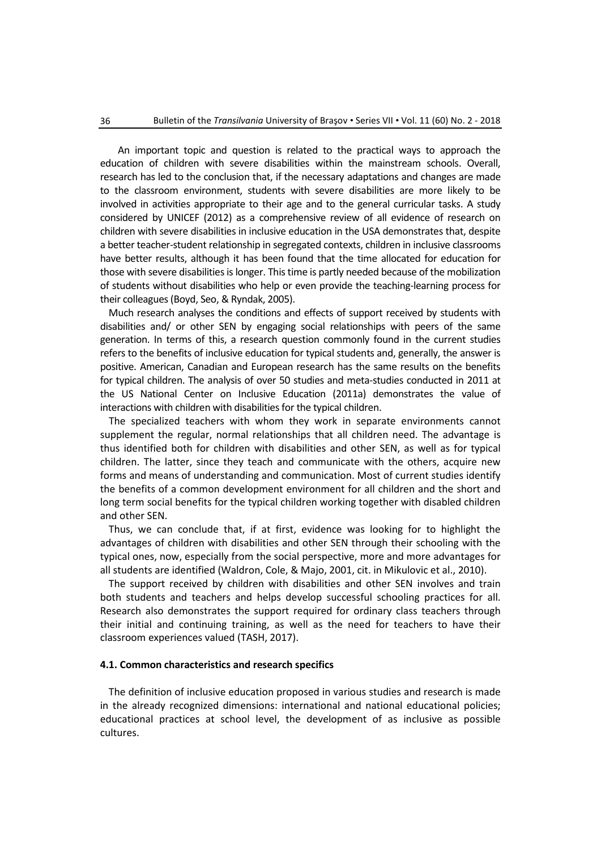An important topic and question is related to the practical ways to approach the education of children with severe disabilities within the mainstream schools. Overall, research has led to the conclusion that, if the necessary adaptations and changes are made to the classroom environment, students with severe disabilities are more likely to be involved in activities appropriate to their age and to the general curricular tasks. A study considered by UNICEF (2012) as a comprehensive review of all evidence of research on children with severe disabilities in inclusive education in the USA demonstrates that, despite a better teacher-student relationship in segregated contexts, children in inclusive classrooms have better results, although it has been found that the time allocated for education for those with severe disabilities is longer. This time is partly needed because of the mobilization of students without disabilities who help or even provide the teaching-learning process for their colleagues (Boyd, Seo, & Ryndak, 2005).

Much research analyses the conditions and effects of support received by students with disabilities and/ or other SEN by engaging social relationships with peers of the same generation. In terms of this, a research question commonly found in the current studies refers to the benefits of inclusive education for typical students and, generally, the answer is positive. American, Canadian and European research has the same results on the benefits for typical children. The analysis of over 50 studies and meta-studies conducted in 2011 at the US National Center on Inclusive Education (2011a) demonstrates the value of interactions with children with disabilities for the typical children.

The specialized teachers with whom they work in separate environments cannot supplement the regular, normal relationships that all children need. The advantage is thus identified both for children with disabilities and other SEN, as well as for typical children. The latter, since they teach and communicate with the others, acquire new forms and means of understanding and communication. Most of current studies identify the benefits of a common development environment for all children and the short and long term social benefits for the typical children working together with disabled children and other SEN.

Thus, we can conclude that, if at first, evidence was looking for to highlight the advantages of children with disabilities and other SEN through their schooling with the typical ones, now, especially from the social perspective, more and more advantages for all students are identified (Waldron, Cole, & Majo, 2001, cit. in Mikulovic et al., 2010).

The support received by children with disabilities and other SEN involves and train both students and teachers and helps develop successful schooling practices for all. Research also demonstrates the support required for ordinary class teachers through their initial and continuing training, as well as the need for teachers to have their classroom experiences valued (TASH, 2017).

#### **4.1. Common characteristics and research specifics**

The definition of inclusive education proposed in various studies and research is made in the already recognized dimensions: international and national educational policies; educational practices at school level, the development of as inclusive as possible cultures.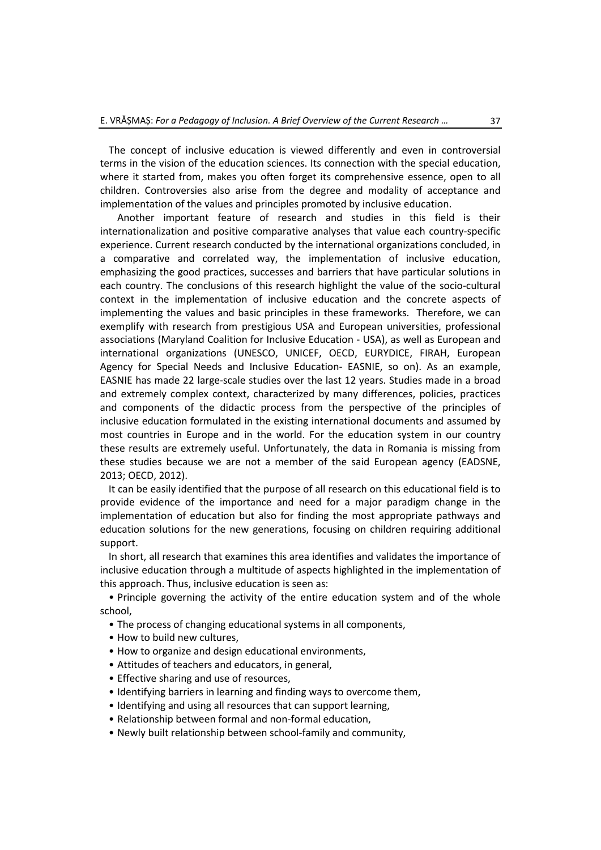The concept of inclusive education is viewed differently and even in controversial terms in the vision of the education sciences. Its connection with the special education, where it started from, makes you often forget its comprehensive essence, open to all children. Controversies also arise from the degree and modality of acceptance and implementation of the values and principles promoted by inclusive education.

Another important feature of research and studies in this field is their internationalization and positive comparative analyses that value each country-specific experience. Current research conducted by the international organizations concluded, in a comparative and correlated way, the implementation of inclusive education, emphasizing the good practices, successes and barriers that have particular solutions in each country. The conclusions of this research highlight the value of the socio-cultural context in the implementation of inclusive education and the concrete aspects of implementing the values and basic principles in these frameworks. Therefore, we can exemplify with research from prestigious USA and European universities, professional associations (Maryland Coalition for Inclusive Education - USA), as well as European and international organizations (UNESCO, UNICEF, OECD, EURYDICE, FIRAH, European Agency for Special Needs and Inclusive Education- EASNIE, so on). As an example, EASNIE has made 22 large-scale studies over the last 12 years. Studies made in a broad and extremely complex context, characterized by many differences, policies, practices and components of the didactic process from the perspective of the principles of inclusive education formulated in the existing international documents and assumed by most countries in Europe and in the world. For the education system in our country these results are extremely useful. Unfortunately, the data in Romania is missing from these studies because we are not a member of the said European agency (EADSNE, 2013; OECD, 2012).

It can be easily identified that the purpose of all research on this educational field is to provide evidence of the importance and need for a major paradigm change in the implementation of education but also for finding the most appropriate pathways and education solutions for the new generations, focusing on children requiring additional support.

In short, all research that examines this area identifies and validates the importance of inclusive education through a multitude of aspects highlighted in the implementation of this approach. Thus, inclusive education is seen as:

• Principle governing the activity of the entire education system and of the whole school,

- The process of changing educational systems in all components,
- How to build new cultures,
- How to organize and design educational environments,
- Attitudes of teachers and educators, in general,
- Effective sharing and use of resources,
- Identifying barriers in learning and finding ways to overcome them,
- Identifying and using all resources that can support learning,
- Relationship between formal and non-formal education,
- Newly built relationship between school-family and community,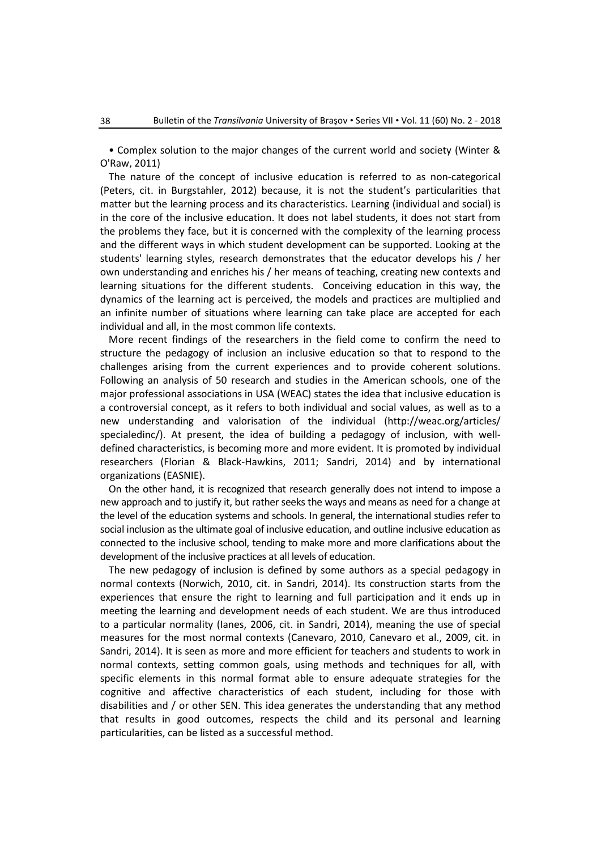• Complex solution to the major changes of the current world and society (Winter & O'Raw, 2011)

The nature of the concept of inclusive education is referred to as non-categorical (Peters, cit. in Burgstahler, 2012) because, it is not the student's particularities that matter but the learning process and its characteristics. Learning (individual and social) is in the core of the inclusive education. It does not label students, it does not start from the problems they face, but it is concerned with the complexity of the learning process and the different ways in which student development can be supported. Looking at the students' learning styles, research demonstrates that the educator develops his / her own understanding and enriches his / her means of teaching, creating new contexts and learning situations for the different students. Conceiving education in this way, the dynamics of the learning act is perceived, the models and practices are multiplied and an infinite number of situations where learning can take place are accepted for each individual and all, in the most common life contexts.

More recent findings of the researchers in the field come to confirm the need to structure the pedagogy of inclusion an inclusive education so that to respond to the challenges arising from the current experiences and to provide coherent solutions. Following an analysis of 50 research and studies in the American schools, one of the major professional associations in USA (WEAC) states the idea that inclusive education is a controversial concept, as it refers to both individual and social values, as well as to a new understanding and valorisation of the individual (http://weac.org/articles/ specialedinc/). At present, the idea of building a pedagogy of inclusion, with welldefined characteristics, is becoming more and more evident. It is promoted by individual researchers (Florian & Black-Hawkins, 2011; Sandri, 2014) and by international organizations (EASNIE).

On the other hand, it is recognized that research generally does not intend to impose a new approach and to justify it, but rather seeks the ways and means as need for a change at the level of the education systems and schools. In general, the international studies refer to social inclusion as the ultimate goal of inclusive education, and outline inclusive education as connected to the inclusive school, tending to make more and more clarifications about the development of the inclusive practices at all levels of education.

The new pedagogy of inclusion is defined by some authors as a special pedagogy in normal contexts (Norwich, 2010, cit. in Sandri, 2014). Its construction starts from the experiences that ensure the right to learning and full participation and it ends up in meeting the learning and development needs of each student. We are thus introduced to a particular normality (Ianes, 2006, cit. in Sandri, 2014), meaning the use of special measures for the most normal contexts (Canevaro, 2010, Canevaro et al., 2009, cit. in Sandri, 2014). It is seen as more and more efficient for teachers and students to work in normal contexts, setting common goals, using methods and techniques for all, with specific elements in this normal format able to ensure adequate strategies for the cognitive and affective characteristics of each student, including for those with disabilities and / or other SEN. This idea generates the understanding that any method that results in good outcomes, respects the child and its personal and learning particularities, can be listed as a successful method.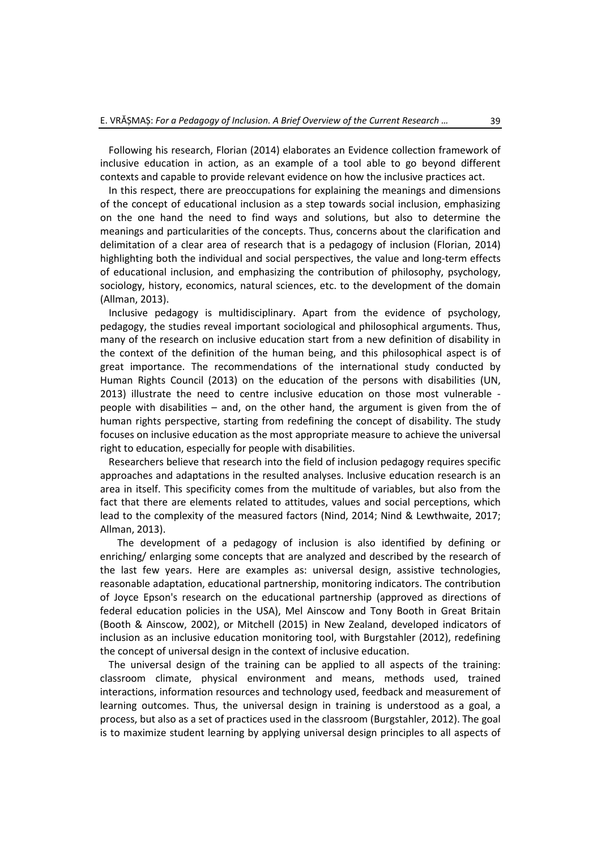Following his research, Florian (2014) elaborates an Evidence collection framework of inclusive education in action, as an example of a tool able to go beyond different contexts and capable to provide relevant evidence on how the inclusive practices act.

In this respect, there are preoccupations for explaining the meanings and dimensions of the concept of educational inclusion as a step towards social inclusion, emphasizing on the one hand the need to find ways and solutions, but also to determine the meanings and particularities of the concepts. Thus, concerns about the clarification and delimitation of a clear area of research that is a pedagogy of inclusion (Florian, 2014) highlighting both the individual and social perspectives, the value and long-term effects of educational inclusion, and emphasizing the contribution of philosophy, psychology, sociology, history, economics, natural sciences, etc. to the development of the domain (Allman, 2013).

Inclusive pedagogy is multidisciplinary. Apart from the evidence of psychology, pedagogy, the studies reveal important sociological and philosophical arguments. Thus, many of the research on inclusive education start from a new definition of disability in the context of the definition of the human being, and this philosophical aspect is of great importance. The recommendations of the international study conducted by Human Rights Council (2013) on the education of the persons with disabilities (UN, 2013) illustrate the need to centre inclusive education on those most vulnerable people with disabilities – and, on the other hand, the argument is given from the of human rights perspective, starting from redefining the concept of disability. The study focuses on inclusive education as the most appropriate measure to achieve the universal right to education, especially for people with disabilities.

Researchers believe that research into the field of inclusion pedagogy requires specific approaches and adaptations in the resulted analyses. Inclusive education research is an area in itself. This specificity comes from the multitude of variables, but also from the fact that there are elements related to attitudes, values and social perceptions, which lead to the complexity of the measured factors (Nind, 2014; Nind & Lewthwaite, 2017; Allman, 2013).

The development of a pedagogy of inclusion is also identified by defining or enriching/ enlarging some concepts that are analyzed and described by the research of the last few years. Here are examples as: universal design, assistive technologies, reasonable adaptation, educational partnership, monitoring indicators. The contribution of Joyce Epson's research on the educational partnership (approved as directions of federal education policies in the USA), Mel Ainscow and Tony Booth in Great Britain (Booth & Ainscow, 2002), or Mitchell (2015) in New Zealand, developed indicators of inclusion as an inclusive education monitoring tool, with Burgstahler (2012), redefining the concept of universal design in the context of inclusive education.

The universal design of the training can be applied to all aspects of the training: classroom climate, physical environment and means, methods used, trained interactions, information resources and technology used, feedback and measurement of learning outcomes. Thus, the universal design in training is understood as a goal, a process, but also as a set of practices used in the classroom (Burgstahler, 2012). The goal is to maximize student learning by applying universal design principles to all aspects of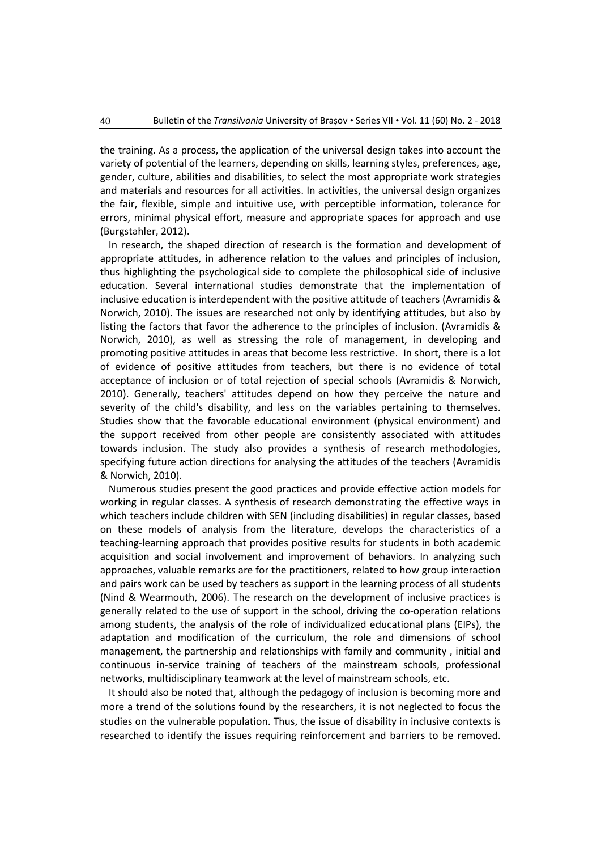the training. As a process, the application of the universal design takes into account the variety of potential of the learners, depending on skills, learning styles, preferences, age, gender, culture, abilities and disabilities, to select the most appropriate work strategies and materials and resources for all activities. In activities, the universal design organizes the fair, flexible, simple and intuitive use, with perceptible information, tolerance for errors, minimal physical effort, measure and appropriate spaces for approach and use (Burgstahler, 2012).

In research, the shaped direction of research is the formation and development of appropriate attitudes, in adherence relation to the values and principles of inclusion, thus highlighting the psychological side to complete the philosophical side of inclusive education. Several international studies demonstrate that the implementation of inclusive education is interdependent with the positive attitude of teachers (Avramidis & Norwich, 2010). The issues are researched not only by identifying attitudes, but also by listing the factors that favor the adherence to the principles of inclusion. (Avramidis & Norwich, 2010), as well as stressing the role of management, in developing and promoting positive attitudes in areas that become less restrictive. In short, there is a lot of evidence of positive attitudes from teachers, but there is no evidence of total acceptance of inclusion or of total rejection of special schools (Avramidis & Norwich, 2010). Generally, teachers' attitudes depend on how they perceive the nature and severity of the child's disability, and less on the variables pertaining to themselves. Studies show that the favorable educational environment (physical environment) and the support received from other people are consistently associated with attitudes towards inclusion. The study also provides a synthesis of research methodologies, specifying future action directions for analysing the attitudes of the teachers (Avramidis & Norwich, 2010).

Numerous studies present the good practices and provide effective action models for working in regular classes. A synthesis of research demonstrating the effective ways in which teachers include children with SEN (including disabilities) in regular classes, based on these models of analysis from the literature, develops the characteristics of a teaching-learning approach that provides positive results for students in both academic acquisition and social involvement and improvement of behaviors. In analyzing such approaches, valuable remarks are for the practitioners, related to how group interaction and pairs work can be used by teachers as support in the learning process of all students (Nind & Wearmouth, 2006). The research on the development of inclusive practices is generally related to the use of support in the school, driving the co-operation relations among students, the analysis of the role of individualized educational plans (EIPs), the adaptation and modification of the curriculum, the role and dimensions of school management, the partnership and relationships with family and community , initial and continuous in-service training of teachers of the mainstream schools, professional networks, multidisciplinary teamwork at the level of mainstream schools, etc.

It should also be noted that, although the pedagogy of inclusion is becoming more and more a trend of the solutions found by the researchers, it is not neglected to focus the studies on the vulnerable population. Thus, the issue of disability in inclusive contexts is researched to identify the issues requiring reinforcement and barriers to be removed.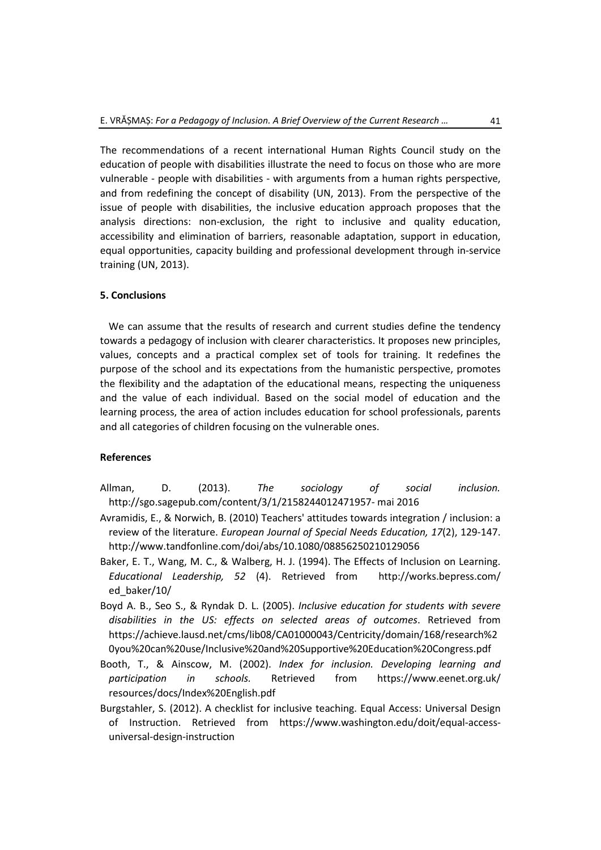The recommendations of a recent international Human Rights Council study on the education of people with disabilities illustrate the need to focus on those who are more vulnerable - people with disabilities - with arguments from a human rights perspective, and from redefining the concept of disability (UN, 2013). From the perspective of the issue of people with disabilities, the inclusive education approach proposes that the analysis directions: non-exclusion, the right to inclusive and quality education, accessibility and elimination of barriers, reasonable adaptation, support in education, equal opportunities, capacity building and professional development through in-service training (UN, 2013).

# **5. Conclusions**

We can assume that the results of research and current studies define the tendency towards a pedagogy of inclusion with clearer characteristics. It proposes new principles, values, concepts and a practical complex set of tools for training. It redefines the purpose of the school and its expectations from the humanistic perspective, promotes the flexibility and the adaptation of the educational means, respecting the uniqueness and the value of each individual. Based on the social model of education and the learning process, the area of action includes education for school professionals, parents and all categories of children focusing on the vulnerable ones.

# **References**

Allman, D. (2013). *The sociology of social inclusion.* [http://sgo.sagepub.com/content/3/1/2158244012471957-](http://sgo.sagepub.com/content/3/1/2158244012471957-%20mai%202016) mai 2016

- Avramidis, E., & Norwich, B. (2010) Teachers' attitudes towards integration / inclusion: a review of the literature. *European Journal of Special Needs Education, 17*(2), 129-147. <http://www.tandfonline.com/doi/abs/10.1080/08856250210129056>
- Baker, E. T., Wang, M. C., & Walberg, H. J. (1994). The Effects of Inclusion on Learning. *Educational Leadership, 52* (4). Retrieved from [http://works.bepress.com/](http://works.bepress.com/%0bed_baker/10/) [ed\\_baker/10/](http://works.bepress.com/%0bed_baker/10/)
- Boyd A. B., Seo S., & Ryndak D. L. (2005). *Inclusive education for students with severe disabilities in the US: effects on selected areas of outcomes*. Retrieved from [https://achieve.lausd.net/cms/lib08/CA01000043/Centricity/domain/168/research%2](https://achieve.lausd.net/cms/lib08/CA01000043/Centricity/domain/168/research%20you%20can%20use/Inclusive%20and%20Supportive%20Education%20Congress.pdf) [0you%20can%20use/Inclusive%20and%20Supportive%20Education%20Congress.pdf](https://achieve.lausd.net/cms/lib08/CA01000043/Centricity/domain/168/research%20you%20can%20use/Inclusive%20and%20Supportive%20Education%20Congress.pdf)
- Booth, T., & Ainscow, M. (2002). *Index for inclusion. Developing learning and participation in schools.* Retrieved from [https://www.eenet.org.uk/](https://www.eenet.org.uk/%0bresources/docs/Index%20English.pdf) [resources/docs/Index%20English.pdf](https://www.eenet.org.uk/%0bresources/docs/Index%20English.pdf)
- Burgstahler, S. (2012). A checklist for inclusive teaching. Equal Access: Universal Design of Instruction. Retrieved from [https://www.washington.edu/doit/equal-access](https://www.washington.edu/doit/equal-access-universal-design-instruction)[universal-design-instruction](https://www.washington.edu/doit/equal-access-universal-design-instruction)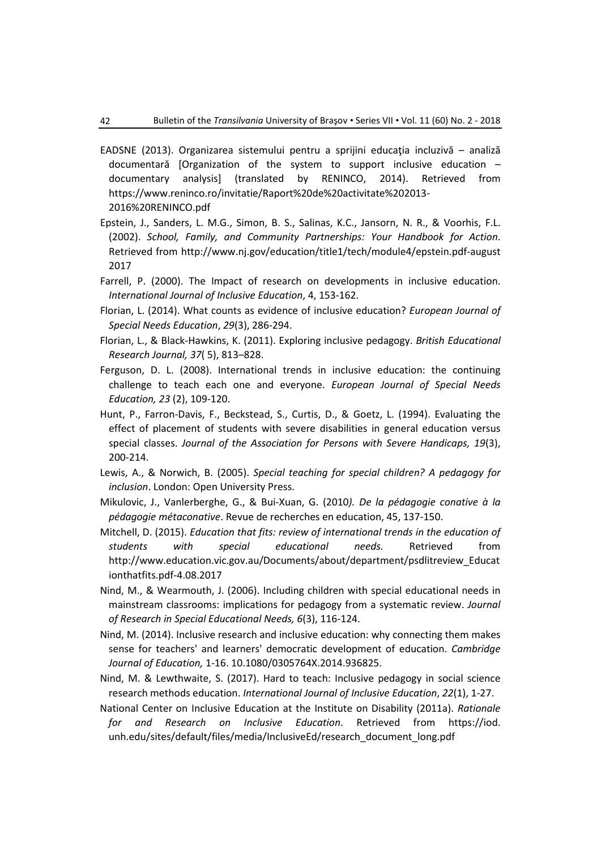- EADSNE (2013). Organizarea sistemului pentru a sprijini educația incluzivă analiză documentară [Organization of the system to support inclusive education – documentary analysis] (translated by RENINCO, 2014). Retrieved from [https://www.reninco.ro/invitatie/Raport%20de%20activitate%202013-](https://www.reninco.ro/invitatie/Raport%20de%20activitate%202013-2016%20RENINCO.pdf) [2016%20RENINCO.pdf](https://www.reninco.ro/invitatie/Raport%20de%20activitate%202013-2016%20RENINCO.pdf)
- Epstein, J., Sanders, L. M.G., Simon, B. S., Salinas, K.C., Jansorn, N. R., & Voorhis, F.L. (2002). *School, Family, and Community Partnerships: Your Handbook for Action*. Retrieved from [http://www.nj.gov/education/title1/tech/module4/epstein.pdf-august](http://www.nj.gov/education/title1/tech/module4/epstein.pdf-august%202017)  [2017](http://www.nj.gov/education/title1/tech/module4/epstein.pdf-august%202017)
- Farrell, P. (2000). The Impact of research on developments in inclusive education. *International Journal of Inclusive Education*, 4, 153-162.
- Florian, L. (2014). What counts as evidence of inclusive education? *European Journal of Special Needs Education*, *29*(3), 286-294.
- Florian, L., & Black-Hawkins, K. (2011). Exploring inclusive pedagogy. *British Educational Research Journal, 37*( 5), 813–828.
- Ferguson, D. L. (2008). International trends in inclusive education: the continuing challenge to teach each one and everyone. *European Journal of Special Needs Education, 23* (2), 109-120.
- Hunt, P., Farron-Davis, F., Beckstead, S., Curtis, D., & Goetz, L. (1994). Evaluating the effect of placement of students with severe disabilities in general education versus special classes. *Journal of the Association for Persons with Severe Handicaps, 19*(3), 200-214.
- Lewis, A., & Norwich, B. (2005). *Special teaching for special children? A pedagogy for inclusion*. London: Open University Press.
- Mikulovic, J., Vanlerberghe, G., & Bui-Xuan, G. (2010*). De la pédagogie conative à la pédagogie métaconative*. Revue de recherches en education, 45, 137-150.
- Mitchell, D. (2015). *Education that fits: review of international trends in the education of students with special educational needs.* Retrieved from [http://www.education.vic.gov.au/Documents/about/department/psdlitreview\\_Educat](http://www.education.vic.gov.au/Documents/about/department/psdlitreview_Educationthatfits.pdf-4.08.2017) [ionthatfits.pdf-4.08.2017](http://www.education.vic.gov.au/Documents/about/department/psdlitreview_Educationthatfits.pdf-4.08.2017)
- Nind, M., & Wearmouth, J. (2006). Including children with special educational needs in mainstream classrooms: implications for pedagogy from a systematic review. *Journal of Research in Special Educational Needs, 6*(3), 116-124.
- Nind, M. (2014). Inclusive research and inclusive education: why connecting them makes sense for teachers' and learners' democratic development of education. *Cambridge Journal of Education,* 1-16. 10.1080/0305764X.2014.936825.
- Nind, M. & Lewthwaite, S. (2017). Hard to teach: Inclusive pedagogy in social science research methods education. *International Journal of Inclusive Education*, *22*(1), 1-27.
- National Center on Inclusive Education at the Institute on Disability (2011a). *Rationale for and Research on Inclusive Education*. Retrieved from https://iod. unh.edu/sites/default/files/media/InclusiveEd/research\_document\_long.pdf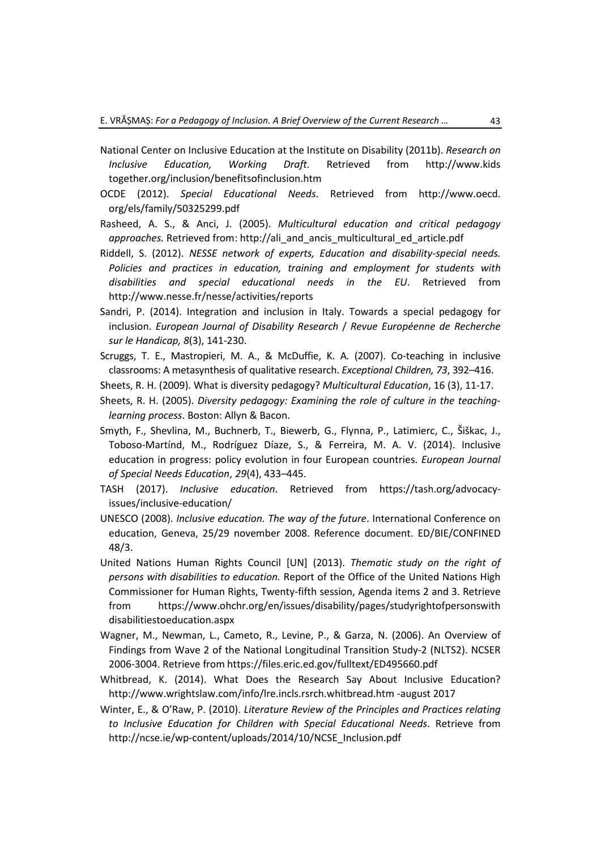- National Center on Inclusive Education at the Institute on Disability (2011b). *Research on Inclusive Education, Working Draft.* Retrieved from http://www.kids together.org/inclusion/benefitsofinclusion.htm
- OCDE (2012). *Special Educational Needs*. Retrieved from http://www.oecd. org/els/family/50325299.pdf
- Rasheed, A. S., & Anci, J. (2005). *Multicultural education and critical pedagogy*  approaches. Retrieved from: [http://ali\\_and\\_ancis\\_multicultural\\_ed\\_article.pdf](http://ali_and_ancis_multicultural_ed_article.pdf/)
- Riddell, S. (2012). *NESSE network of experts, Education and disability-special needs. Policies and practices in education, training and employment for students with disabilities and special educational needs in the EU*. Retrieved from <http://www.nesse.fr/nesse/activities/reports>
- Sandri, P. (2014). Integration and inclusion in Italy. Towards a special pedagogy for inclusion. *European Journal of Disability Research* / *Revue Européenne de Recherche sur le Handicap, 8*(3), 141-230.

Scruggs, T. E., Mastropieri, M. A., & McDuffie, K. A. (2007). Co-teaching in inclusive classrooms: A metasynthesis of qualitative research. *Exceptional Children, 73*, 392–416.

- Sheets, R. H. (2009). What is diversity pedagogy? *Multicultural Education*, 16 (3), 11-17.
- Sheets, R. H. (2005). *Diversity pedagogy: Examining the role of culture in the teachinglearning process*. Boston: Allyn & Bacon.
- Smyth, F., Shevlina, M., Buchnerb, T., Biewerb, G., Flynna, P., Latimierc, C., Šiškac, J., Toboso-Martínd, M., Rodríguez Díaze, S., & Ferreira, M. A. V. (2014). Inclusive education in progress: policy evolution in four European countries. *European Journal of Special Needs Education*, *29*(4), 433–445.
- TASH (2017). *Inclusive education*. Retrieved from [https://tash.org/advocacy](https://tash.org/advocacy-issues/inclusive-education/)[issues/inclusive-education/](https://tash.org/advocacy-issues/inclusive-education/)
- UNESCO (2008). *Inclusive education. The way of the future*. International Conference on education, Geneva, 25/29 november 2008. Reference document. ED/BIE/CONFINED 48/3.
- United Nations Human Rights Council [UN] (2013). *Thematic study on the right of persons with disabilities to education.* Report of the Office of the United Nations High Commissioner for Human Rights, Twenty-fifth session, Agenda items 2 and 3. Retrieve from [https://www.ohchr.org/en/issues/disability/pages/studyrightofpersonswith](https://www.ohchr.org/en/issues/disability/pages/studyrightofpersonswith%0bdisabilitiestoeducation.aspx) [disabilitiestoeducation.aspx](https://www.ohchr.org/en/issues/disability/pages/studyrightofpersonswith%0bdisabilitiestoeducation.aspx)
- Wagner, M., Newman, L., Cameto, R., Levine, P., & Garza, N. (2006). An Overview of Findings from Wave 2 of the National Longitudinal Transition Study-2 (NLTS2). NCSER 2006-3004. Retrieve from<https://files.eric.ed.gov/fulltext/ED495660.pdf>
- Whitbread, K. (2014). What Does the Research Say About Inclusive Education? http://www.wrightslaw.com/info/lre.incls.rsrch.whitbread.htm -august 2017
- Winter, E., & O'Raw, P. (2010). *Literature Review of the Principles and Practices relating to Inclusive Education for Children with Special Educational Needs*. Retrieve from [http://ncse.ie/wp-content/uploads/2014/10/NCSE\\_Inclusion.pdf](http://ncse.ie/wp-content/uploads/2014/10/NCSE_Inclusion.pdf)